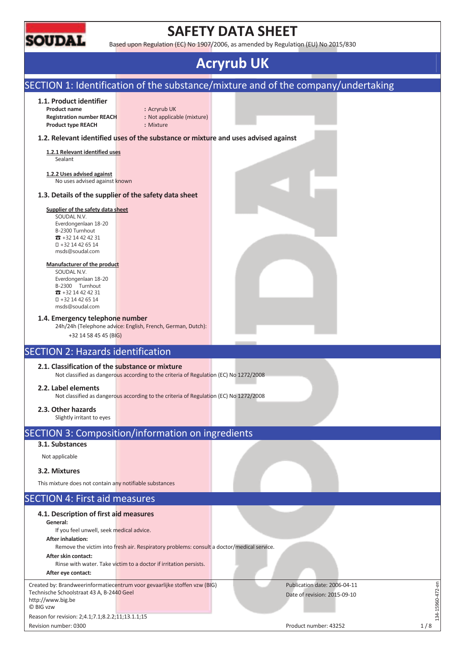

# **SAFETY DATA SHEET**

Based upon Regulation (EC) No 1907/2006, as amended by Regulation (EU) No 2015/830

## **Acryrub UK**

### SECTION 1: Identification of the substance/mixture and of the company/undertaking **1.1. Product identifier Product name :** Acryrub UK **Registration number REACH :** Not applicable (mixture) **Product type REACH :** Mixture **1.2. Relevant identified uses of the substance or mixture and uses advised against 1.2.1 Relevant identified uses**  Sealant **1.2.2 Uses advised against**  No uses advised against known **1.3. Details of the supplier of the safety data sheet Supplier of the safety data sheet**  SOUDAL N.V. Everdongenlaan 18-20 B-2300 Turnhout  $\pi$  +32 14 42 42 31 +32 14 42 65 14 msds@soudal.com **Manufacturer of the product**  SOUDAL N.V. Everdongenlaan 18-20 B-2300 Turnhout  $\overline{3}$  +32 14 42 42 31 +32 14 42 65 14 msds@soudal.com **1.4. Emergency telephone number**  24h/24h (Telephone advice: English, French, German, Dutch): +32 14 58 45 45 (BIG) SECTION 2: Hazards identification **2.1. Classification of the substance or mixture**  Not classified as dangerous according to the criteria of Regulation (EC) No 1272/2008 **2.2. Label elements**  Not classified as dangerous according to the criteria of Regulation (EC) No 1272/2008 **2.3. Other hazards**  Slightly irritant to eyes SECTION 3: Composition/information on ingredients **3.1. Substances**  Not applicable **3.2. Mixtures**  This mixture does not contain any notifiable substances SECTION 4: First aid measures **4.1. Description of first aid measures General:**  If you feel unwell, seek medical advice. **After inhalation:**  Remove the victim into fresh air. Respiratory problems: consult a doctor/medical service. **After skin contact:**  Rinse with water. Take victim to a doctor if irritation persists. **After eye contact:**  134-15960-472-en Created by: Brandweerinformatiecentrum voor gevaarlijke stoffen vzw (BIG) Publication date: 2006-04-11  $-15960 - 472 - en$ Technische Schoolstraat 43 A, B-2440 Geel Date of revision: 2015-09-10 http://www.big.be © BIG vzw  $-14$ Reason for revision: 2;4.1;7.1;8.2.2;11;13.1.1;15 Revision number: 0300 and 1 / 8 and 1 / 8 and 1 / 8 and 1 / 8 and 1 / 8 and 1 / 8 and 1 / 8 and 1 / 8 and 1 / 8 and 1 / 8 and 1 / 8 and 1 / 8 and 1 / 8 and 1 / 8 and 1 / 8 and 1 / 8 and 1 / 8 and 1 / 8 and 1 / 8 and 1 / 8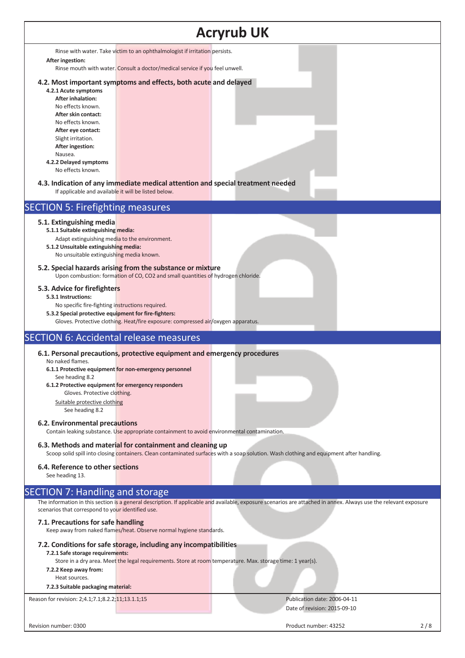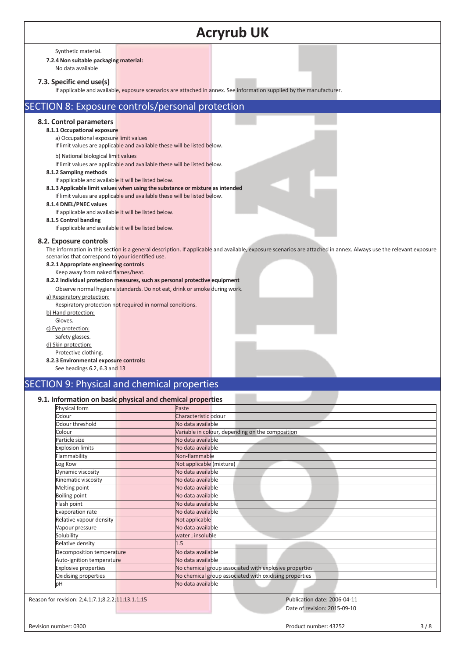| <b>Acryrub UK</b>                                                                                                                                                                                                                                                                                                                                                                                                                                                                                                                                                                                                                                                 |  |  |  |  |
|-------------------------------------------------------------------------------------------------------------------------------------------------------------------------------------------------------------------------------------------------------------------------------------------------------------------------------------------------------------------------------------------------------------------------------------------------------------------------------------------------------------------------------------------------------------------------------------------------------------------------------------------------------------------|--|--|--|--|
| Synthetic material.<br>7.2.4 Non suitable packaging material:<br>No data available                                                                                                                                                                                                                                                                                                                                                                                                                                                                                                                                                                                |  |  |  |  |
| 7.3. Specific end use(s)<br>If applicable and available, exposure scenarios are attached in annex. See information supplied by the manufacturer.                                                                                                                                                                                                                                                                                                                                                                                                                                                                                                                  |  |  |  |  |
| SECTION 8: Exposure controls/personal protection                                                                                                                                                                                                                                                                                                                                                                                                                                                                                                                                                                                                                  |  |  |  |  |
| 8.1. Control parameters<br>8.1.1 Occupational exposure<br>a) Occupational exposure limit values<br>If limit values are applicable and available these will be listed below.<br>b) National biological limit values<br>If limit values are applicable and available these will be listed below.<br>8.1.2 Sampling methods<br>If applicable and available it will be listed below.<br>8.1.3 Applicable limit values when using the substance or mixture as intended<br>If limit values are applicable and available these will be listed below.<br>8.1.4 DNEL/PNEC values<br>If applicable and available it will be listed below.<br>8.1.5 Control banding          |  |  |  |  |
| If applicable and available it will be listed below.                                                                                                                                                                                                                                                                                                                                                                                                                                                                                                                                                                                                              |  |  |  |  |
| 8.2. Exposure controls<br>The information in this section is a general description. If applicable and available, exposure scenarios are attached in annex. Always use the relevant exposure<br>scenarios that correspond to your identified use.<br>8.2.1 Appropriate engineering controls<br>Keep away from naked flames/heat.<br>8.2.2 Individual protection measures, such as personal protective equipment<br>Observe normal hygiene standards. Do not eat, drink or smoke during work.<br>a) Respiratory protection:<br>Respiratory protection not required in normal conditions.<br>b) Hand protection:<br>Gloves.<br>c) Eye protection:<br>Safety glasses. |  |  |  |  |
| d) Skin protection:<br>Protective clothing.<br>8.2.3 Environmental exposure controls:<br>See headings 6.2, 6.3 and 13                                                                                                                                                                                                                                                                                                                                                                                                                                                                                                                                             |  |  |  |  |
| <b>SECTION 9: Physical and chemical properties</b>                                                                                                                                                                                                                                                                                                                                                                                                                                                                                                                                                                                                                |  |  |  |  |
| 9.1. Information on basic physical and chemical properties<br><b>Physical form</b><br>D <sub>2</sub> cta                                                                                                                                                                                                                                                                                                                                                                                                                                                                                                                                                          |  |  |  |  |

| Pilysical forfill                                 | aste,                                                  |  |  |
|---------------------------------------------------|--------------------------------------------------------|--|--|
| Odour                                             | Characteristic odour                                   |  |  |
| Odour threshold                                   | No data available                                      |  |  |
| Colour                                            | Variable in colour, depending on the composition       |  |  |
| Particle size                                     | No data available                                      |  |  |
| <b>Explosion limits</b>                           | No data available                                      |  |  |
| Flammability                                      | Non-flammable                                          |  |  |
| Log Kow                                           | Not applicable (mixture)                               |  |  |
| Dynamic viscosity                                 | No data available                                      |  |  |
| Kinematic viscosity                               | No data available                                      |  |  |
| Melting point                                     | No data available                                      |  |  |
| <b>Boiling point</b>                              | No data available                                      |  |  |
| Flash point                                       | No data available                                      |  |  |
| <b>Evaporation rate</b>                           | No data available                                      |  |  |
| Relative vapour density                           | Not applicable                                         |  |  |
| Vapour pressure                                   | No data available                                      |  |  |
| Solubility                                        | water; insoluble                                       |  |  |
| Relative density                                  | 1.5                                                    |  |  |
| Decomposition temperature                         | No data available                                      |  |  |
| Auto-ignition temperature                         | No data available                                      |  |  |
| <b>Explosive properties</b>                       | No chemical group associated with explosive properties |  |  |
| Oxidising properties                              | No chemical group associated with oxidising properties |  |  |
| pH                                                | No data available                                      |  |  |
|                                                   |                                                        |  |  |
| Reason for revision: 2;4.1;7.1;8.2.2;11;13.1.1;15 | Publication date: 2006-04-11                           |  |  |
|                                                   | Date of revision: 2015-09-10                           |  |  |
| Revision number: 0300                             | 3/8<br>Product number: 43252                           |  |  |
|                                                   |                                                        |  |  |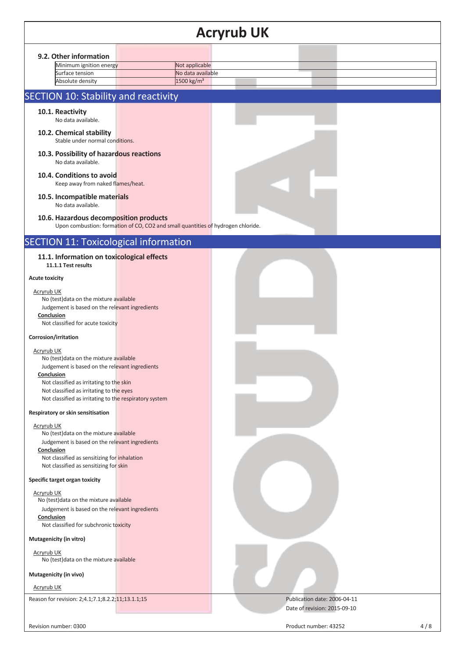### **Acryrub UK 9.2. Other information**  Minimum ignition energy Not applicable Surface tension No data available Absolute density 1500 kg/m<sup>3</sup> SECTION 10: Stability and reactivity **10.1. Reactivity** No data available. **10.2. Chemical stability**  Stable under normal conditions. **10.3. Possibility of hazardous reactions**  No data available. **10.4. Conditions to avoid**  Keep away from naked flames/heat. **10.5. Incompatible materials**  No data available. **10.6. Hazardous decomposition products**  Upon combustion: formation of CO, CO2 and small quantities of hydrogen chloride. SECTION 11: Toxicological information **11.1. Information on toxicological effects 11.1.1 Test results Acute toxicity**  Acryrub UK No (test)data on the mixture available Judgement is based on the relevant ingredients **Conclusion**  Not classified for acute toxicity **Corrosion/irritation**  Acryrub UK No (test)data on the mixture available Judgement is based on the relevant ingredients **Conclusion**  Not classified as irritating to the skin Not classified as irritating to the eyes Not classified as irritating to the respiratory system **Respiratory or skin sensitisation**  Acryrub UK No (test)data on the mixture available Judgement is based on the relevant ingredients **Conclusion**  Not classified as sensitizing for inhalation Not classified as sensitizing for skin **Specific target organ toxicity**  Acryrub UK No (test)data on the mixture available Judgement is based on the relevant ingredients **Conclusion**  Not classified for subchronic toxicity **Mutagenicity (in vitro)**  Acryrub UK No (test)data on the mixture available **Mutagenicity (in vivo)**  Acryrub UK Reason for revision: 2;4.1;7.1;8.2.2;<mark>11;13.1.1;15 Publication date: 2006-04-11</mark> Publication date: 2006-04-11 Date of revision: 2015-09-10 Revision number: 0300 and the visit of the control of the Product number: 43252 and the visit of the 4 / 8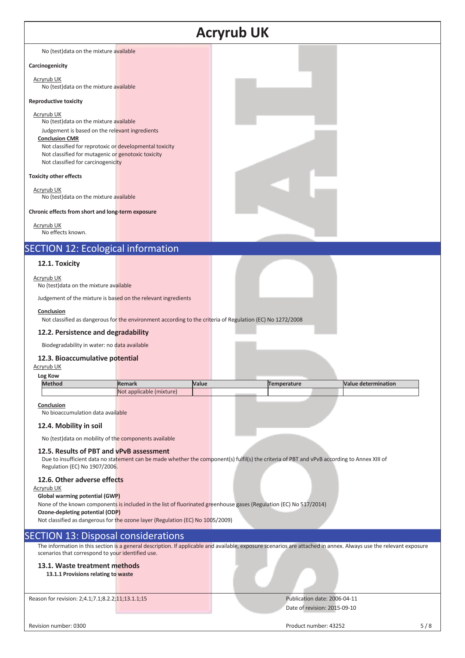| <b>Acryrub UK</b>                                                                                                                                                                                                                                                                       |                                                                                                           |       |                                                                                                                                                                   |                            |     |
|-----------------------------------------------------------------------------------------------------------------------------------------------------------------------------------------------------------------------------------------------------------------------------------------|-----------------------------------------------------------------------------------------------------------|-------|-------------------------------------------------------------------------------------------------------------------------------------------------------------------|----------------------------|-----|
| No (test) data on the mixture available                                                                                                                                                                                                                                                 |                                                                                                           |       |                                                                                                                                                                   |                            |     |
| Carcinogenicity                                                                                                                                                                                                                                                                         |                                                                                                           |       |                                                                                                                                                                   |                            |     |
| <b>Acryrub UK</b><br>No (test) data on the mixture available                                                                                                                                                                                                                            |                                                                                                           |       |                                                                                                                                                                   |                            |     |
| <b>Reproductive toxicity</b>                                                                                                                                                                                                                                                            |                                                                                                           |       |                                                                                                                                                                   |                            |     |
| Acryrub UK<br>No (test) data on the mixture available<br>Judgement is based on the relevant ingredients<br><b>Conclusion CMR</b><br>Not classified for reprotoxic or developmental toxicity<br>Not classified for mutagenic or genotoxic toxicity<br>Not classified for carcinogenicity |                                                                                                           |       |                                                                                                                                                                   |                            |     |
| <b>Toxicity other effects</b>                                                                                                                                                                                                                                                           |                                                                                                           |       |                                                                                                                                                                   |                            |     |
| Acryrub UK<br>No (test) data on the mixture available                                                                                                                                                                                                                                   |                                                                                                           |       |                                                                                                                                                                   |                            |     |
| Chronic effects from short and long-term exposure                                                                                                                                                                                                                                       |                                                                                                           |       |                                                                                                                                                                   |                            |     |
| Acryrub UK<br>No effects known.                                                                                                                                                                                                                                                         |                                                                                                           |       |                                                                                                                                                                   |                            |     |
| <b>SECTION 12: Ecological information</b>                                                                                                                                                                                                                                               |                                                                                                           |       |                                                                                                                                                                   |                            |     |
| 12.1. Toxicity                                                                                                                                                                                                                                                                          |                                                                                                           |       |                                                                                                                                                                   |                            |     |
| Acryrub UK<br>No (test) data on the mixture available                                                                                                                                                                                                                                   |                                                                                                           |       |                                                                                                                                                                   |                            |     |
| Judgement of the mixture is based on the relevant ingredients                                                                                                                                                                                                                           |                                                                                                           |       |                                                                                                                                                                   |                            |     |
| Conclusion                                                                                                                                                                                                                                                                              | Not classified as dangerous for the environment according to the criteria of Regulation (EC) No 1272/2008 |       |                                                                                                                                                                   |                            |     |
| 12.2. Persistence and degradability                                                                                                                                                                                                                                                     |                                                                                                           |       |                                                                                                                                                                   |                            |     |
| Biodegradability in water: no data available                                                                                                                                                                                                                                            |                                                                                                           |       |                                                                                                                                                                   |                            |     |
| 12.3. Bioaccumulative potential<br><b>Acryrub UK</b>                                                                                                                                                                                                                                    |                                                                                                           |       |                                                                                                                                                                   |                            |     |
| Log Kow<br><b>Method</b>                                                                                                                                                                                                                                                                | <b>Remark</b>                                                                                             | Value | <b>Temperature</b>                                                                                                                                                | <b>Value determination</b> |     |
|                                                                                                                                                                                                                                                                                         | Not applicable (mixture)                                                                                  |       |                                                                                                                                                                   |                            |     |
| Conclusion<br>No bioaccumulation data available                                                                                                                                                                                                                                         |                                                                                                           |       |                                                                                                                                                                   |                            |     |
| 12.4. Mobility in soil                                                                                                                                                                                                                                                                  |                                                                                                           |       |                                                                                                                                                                   |                            |     |
| No (test) data on mobility of the components available                                                                                                                                                                                                                                  |                                                                                                           |       |                                                                                                                                                                   |                            |     |
| 12.5. Results of PBT and vPvB assessment<br>Regulation (EC) No 1907/2006.                                                                                                                                                                                                               |                                                                                                           |       | Due to insufficient data no statement can be made whether the component(s) fulfil(s) the criteria of PBT and vPvB according to Annex XIII of                      |                            |     |
| 12.6. Other adverse effects<br><u>Acryrub UK</u><br>Global warming potential (GWP)<br>Ozone-depleting potential (ODP)<br>Not classified as dangerous for the ozone layer (Regulation (EC) No 1005/2009)                                                                                 |                                                                                                           |       | None of the known components is included in the list of fluorinated greenhouse gases (Regulation (EC) No 517/2014)                                                |                            |     |
| <b>SECTION 13: Disposal considerations</b>                                                                                                                                                                                                                                              |                                                                                                           |       |                                                                                                                                                                   |                            |     |
| scenarios that correspond to your identified use.                                                                                                                                                                                                                                       |                                                                                                           |       | The information in this section is a general description. If applicable and available, exposure scenarios are attached in annex. Always use the relevant exposure |                            |     |
| 13.1. Waste treatment methods<br>13.1.1 Provisions relating to waste                                                                                                                                                                                                                    |                                                                                                           |       |                                                                                                                                                                   |                            |     |
| Reason for revision: 2;4.1;7.1;8.2.2;11;13.1.1;15                                                                                                                                                                                                                                       |                                                                                                           |       | Publication date: 2006-04-11<br>Date of revision: 2015-09-10                                                                                                      |                            |     |
|                                                                                                                                                                                                                                                                                         |                                                                                                           |       |                                                                                                                                                                   |                            |     |
| Revision number: 0300                                                                                                                                                                                                                                                                   |                                                                                                           |       | Product number: 43252                                                                                                                                             |                            | 5/8 |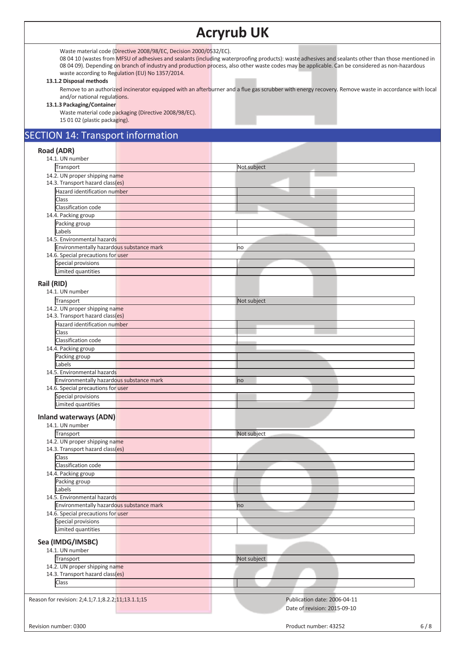### **Acryrub UK**

Waste material code (Directive 2008/98/EC, Decision 2000/0532/EC).

08 04 10 (wastes from MFSU of adhesives and sealants (including waterproofing products): waste adhesives and sealants other than those mentioned in 08 04 09). Depending on branch of industry and production process, also other waste codes may be applicable. Can be considered as non-hazardous waste according to Regulation (EU) No 1357/2014.

#### **13.1.2 Disposal methods**

Remove to an authorized incinerator equipped with an afterburner and a flue gas scrubber with energy recovery. Remove waste in accordance with local and/or national regulations.

#### **13.1.3 Packaging/Container**

Waste material code packaging (Directive 2008/98/EC). 15 01 02 (plastic packaging).

### SECTION 14: Transport information

#### **Road (ADR)**  14.1. UN number **Transport** Not subject 14.2. UN proper shipping name 14.3. Transport hazard class(es) Hazard identification number Class Classification code 14.4. Packing group Packing group Labels 14.5. Environmental hazards Environmentally hazardous substance mark no matches and the matches of the matches of the matches of the matches 14.6. Special precautions for user Special provisions Limited quantities **Rail (RID)**  14.1. UN number Transport Not subject 14.2. UN proper shipping name 14.3. Transport hazard class(es) Hazard identification number Class Classification code 14.4. Packing group Packing group Labels 14.5. Environmental hazards Environmentally hazardous substance mark no mark no mark no mark 14.6. Special precautions for user Special provisions Limited quantities **Inland waterways (ADN)**  14.1. UN number **Transport** Not subject 14.2. UN proper shipping name 14.3. Transport hazard class(es) **Class** Classification code 14.4. Packing group Packing group Labels 14.5. Environmental hazards Environmentally hazardous substance mark now all the control of the control of the control of the control of the control of the control of the control of the control of the control of the control of the control of the cont 14.6. Special precautions for user Special provisions Limited quantities **Sea (IMDG/IMSBC)**  14.1. UN number **Transport** Not subject 14.2. UN proper shipping name 14.3. Transport hazard class(es) Class Reason for revision: 2;4.1;7.1;8.2.2;11;13.1.1;15 Publication date: 2006-04-11 Date of revision: 2015-09-10 Revision number: 0300 6/8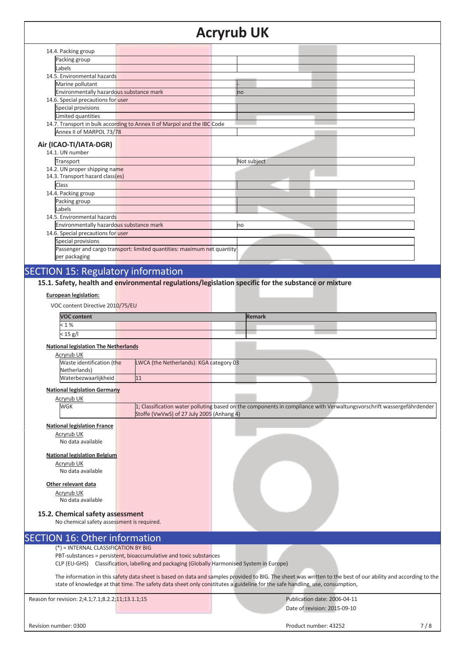### **Acryrub UK**

|                                                   |                                                                                             | <b>Acryrub UK</b>                                                                                                                                             |
|---------------------------------------------------|---------------------------------------------------------------------------------------------|---------------------------------------------------------------------------------------------------------------------------------------------------------------|
| 14.4. Packing group                               |                                                                                             |                                                                                                                                                               |
| Packing group                                     |                                                                                             |                                                                                                                                                               |
| Labels                                            |                                                                                             |                                                                                                                                                               |
| 14.5. Environmental hazards                       |                                                                                             |                                                                                                                                                               |
| Marine pollutant                                  |                                                                                             |                                                                                                                                                               |
| Environmentally hazardous substance mark          |                                                                                             |                                                                                                                                                               |
| 14.6. Special precautions for user                |                                                                                             | no                                                                                                                                                            |
| Special provisions                                |                                                                                             |                                                                                                                                                               |
|                                                   |                                                                                             |                                                                                                                                                               |
| Limited quantities                                |                                                                                             |                                                                                                                                                               |
| Annex II of MARPOL 73/78                          | 14.7. Transport in bulk according to Annex II of Marpol and the IBC Code                    |                                                                                                                                                               |
|                                                   |                                                                                             |                                                                                                                                                               |
| Air (ICAO-TI/IATA-DGR)                            |                                                                                             |                                                                                                                                                               |
| 14.1. UN number                                   |                                                                                             |                                                                                                                                                               |
| Transport                                         |                                                                                             | Not subject                                                                                                                                                   |
| 14.2. UN proper shipping name                     |                                                                                             |                                                                                                                                                               |
| 14.3. Transport hazard class(es)                  |                                                                                             |                                                                                                                                                               |
| Class                                             |                                                                                             |                                                                                                                                                               |
|                                                   |                                                                                             |                                                                                                                                                               |
| 14.4. Packing group                               |                                                                                             |                                                                                                                                                               |
| Packing group                                     |                                                                                             |                                                                                                                                                               |
| Labels                                            |                                                                                             |                                                                                                                                                               |
| 14.5. Environmental hazards                       |                                                                                             |                                                                                                                                                               |
| Environmentally hazardous substance mark          |                                                                                             | no                                                                                                                                                            |
| 14.6. Special precautions for user                |                                                                                             |                                                                                                                                                               |
| Special provisions                                |                                                                                             |                                                                                                                                                               |
|                                                   | Passenger and cargo transport: limited quantities: maximum net quantity                     |                                                                                                                                                               |
| per packaging                                     |                                                                                             |                                                                                                                                                               |
|                                                   |                                                                                             |                                                                                                                                                               |
| <b>SECTION 15: Regulatory information</b>         |                                                                                             |                                                                                                                                                               |
| <b>VOC content</b><br>< 1%                        |                                                                                             | <b>Remark</b>                                                                                                                                                 |
| $< 15$ g/l                                        |                                                                                             |                                                                                                                                                               |
| <b>National legislation The Netherlands</b>       |                                                                                             |                                                                                                                                                               |
| <b>Acryrub UK</b>                                 |                                                                                             |                                                                                                                                                               |
| Waste identification (the                         | LWCA (the Netherlands): KGA category 03                                                     |                                                                                                                                                               |
| Netherlands)                                      |                                                                                             |                                                                                                                                                               |
| Waterbezwaarlijkheid                              | $\overline{11}$                                                                             |                                                                                                                                                               |
|                                                   |                                                                                             |                                                                                                                                                               |
| <b>National legislation Germany</b>               |                                                                                             |                                                                                                                                                               |
| <b>Acryrub UK</b>                                 |                                                                                             |                                                                                                                                                               |
| WGK                                               |                                                                                             | 1; Classification water polluting based on the components in compliance with Verwaltungsvorschrift wassergefährdender                                         |
|                                                   | Stoffe (VwVwS) of 27 July 2005 (Anhang 4)                                                   |                                                                                                                                                               |
| <b>National legislation France</b>                |                                                                                             |                                                                                                                                                               |
| Acryrub UK                                        |                                                                                             |                                                                                                                                                               |
| No data available                                 |                                                                                             |                                                                                                                                                               |
|                                                   |                                                                                             |                                                                                                                                                               |
| <b>National legislation Belgium</b>               |                                                                                             |                                                                                                                                                               |
| <b>Acryrub UK</b>                                 |                                                                                             |                                                                                                                                                               |
| No data available                                 |                                                                                             |                                                                                                                                                               |
|                                                   |                                                                                             |                                                                                                                                                               |
| Other relevant data                               |                                                                                             |                                                                                                                                                               |
| Acryrub UK                                        |                                                                                             |                                                                                                                                                               |
| No data available                                 |                                                                                             |                                                                                                                                                               |
|                                                   |                                                                                             |                                                                                                                                                               |
| 15.2. Chemical safety assessment                  |                                                                                             |                                                                                                                                                               |
| No chemical safety assessment is required.        |                                                                                             |                                                                                                                                                               |
|                                                   |                                                                                             |                                                                                                                                                               |
| <b>SECTION 16: Other information</b>              |                                                                                             |                                                                                                                                                               |
| (*) = INTERNAL CLASSIFICATION BY BIG              |                                                                                             |                                                                                                                                                               |
|                                                   | PBT-substances = persistent, bioaccumulative and toxic substances                           |                                                                                                                                                               |
|                                                   | CLP (EU-GHS) Classification, labelling and packaging (Globally Harmonised System in Europe) |                                                                                                                                                               |
|                                                   |                                                                                             |                                                                                                                                                               |
|                                                   |                                                                                             | The information in this safety data sheet is based on data and samples provided to BIG. The sheet was written to the best of our ability and according to the |
|                                                   |                                                                                             | state of knowledge at that time. The safety data sheet only constitutes a guideline for the safe handling, use, consumption,                                  |
|                                                   |                                                                                             |                                                                                                                                                               |
| Reason for revision: 2;4.1;7.1;8.2.2;11;13.1.1;15 |                                                                                             | Publication date: 2006-04-11                                                                                                                                  |
|                                                   |                                                                                             | Date of revision: 2015-09-10                                                                                                                                  |

Revision number: 0300 7/8